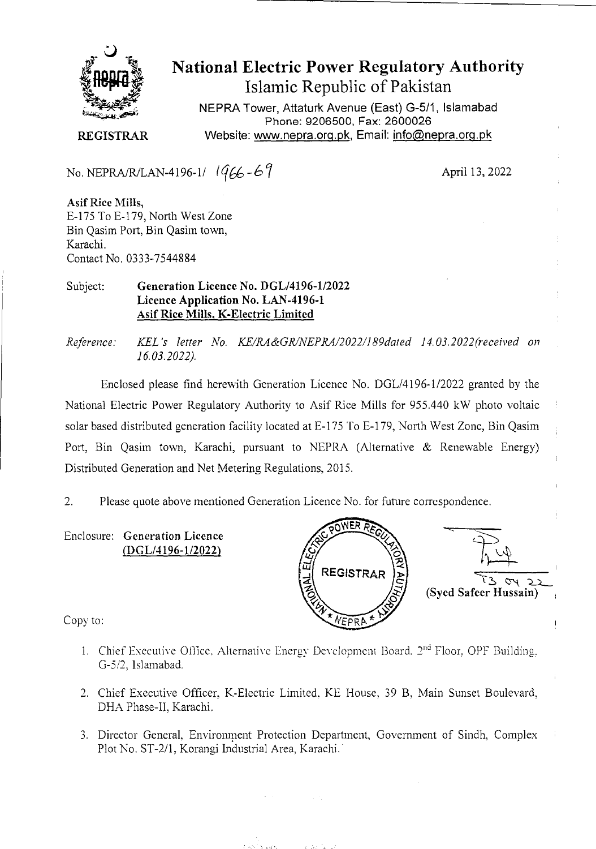

**National Electric Power Regulatory Authority Islamic Republic of Pakistan** 

NEPRA Tower, Attaturk Avenue (East) G-5/1, Islamabad Phone: 9206500, Fax: 2600026 **REGISTRAR** Website: www.nepra.org.pk, Email: info@nepra.org.pk

No. NEPRA/R/LAN-4196-1/  $196-67$  April 13, 2022

Asif Rice Mills, E-175 To E-179, North West Zone Bin Qasirn Port, Bin Qasim town, Karachi. Contact No. 0333-7544884

Subject: **Generation Licence No. DGL/4196-1/2022 Licence Application No. LAN-4196-1 Asif Rice Mills, K-Electric Limited** 

*Reference: KEL 's letter No. KE/RA&GR/NEPRA/2022/l89daled 14. 03.2022(received on 16.03.2022).* 

Enclosed please find herewith Generation Licence No. DGL/4196-l/2022 granted by the National Electric Power Regulatory Authority to Asif Rice Mills for 955.440 kW photo voltaic solar based distributed generation facility located at E-175 To E-179, North West Zone, Bin Qasim Port, Bin Qasim town, Karachi, pursuant to NEPRA (Alternative  $\&$  Renewable Energy) Distributed Generation and Net Metering Regulations, 2015.

 $2.$ Please quote above mentioned Generation Licence No. for future correspondence.

Enclosure: Generation Licence (DGL/4196-1/2022)



Copy to:

- 1. Chief Executive Office. Alternative Energy Development Board. 2<sup>nd</sup> Floor. OPF Building. G-5/2, Islamabad.
- 2. Chief Executive Officer. K-Electric Limited. KE House. 39 B. Main Sunset Boulevard, DHA Phase-Il, Karachi.
- 3. Director General, Environment Protection Department, Government of Sindh, Complex Plot No. ST-2/1, Korangi Industrial Area. Karachi.

ADVIS LIKE